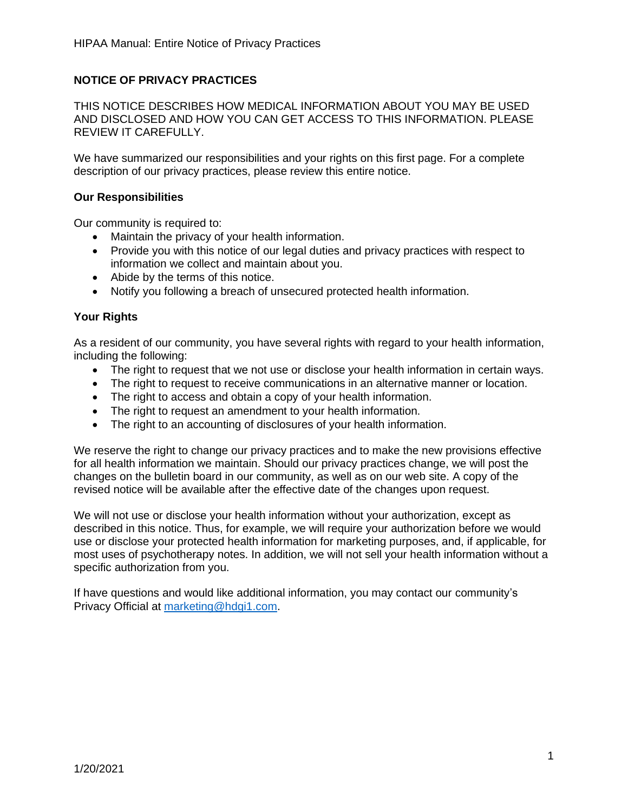# **NOTICE OF PRIVACY PRACTICES**

THIS NOTICE DESCRIBES HOW MEDICAL INFORMATION ABOUT YOU MAY BE USED AND DISCLOSED AND HOW YOU CAN GET ACCESS TO THIS INFORMATION. PLEASE REVIEW IT CAREFULLY.

We have summarized our responsibilities and your rights on this first page. For a complete description of our privacy practices, please review this entire notice.

#### **Our Responsibilities**

Our community is required to:

- Maintain the privacy of your health information.
- Provide you with this notice of our legal duties and privacy practices with respect to information we collect and maintain about you.
- Abide by the terms of this notice.
- Notify you following a breach of unsecured protected health information.

### **Your Rights**

As a resident of our community, you have several rights with regard to your health information, including the following:

- The right to request that we not use or disclose your health information in certain ways.
- The right to request to receive communications in an alternative manner or location.
- The right to access and obtain a copy of your health information.
- The right to request an amendment to your health information.
- The right to an accounting of disclosures of your health information.

We reserve the right to change our privacy practices and to make the new provisions effective for all health information we maintain. Should our privacy practices change, we will post the changes on the bulletin board in our community, as well as on our web site. A copy of the revised notice will be available after the effective date of the changes upon request.

We will not use or disclose your health information without your authorization, except as described in this notice. Thus, for example, we will require your authorization before we would use or disclose your protected health information for marketing purposes, and, if applicable, for most uses of psychotherapy notes. In addition, we will not sell your health information without a specific authorization from you.

If have questions and would like additional information, you may contact our community's Privacy Official at [marketing@hdgi1.com.](mailto:marketing@hdgi1.com)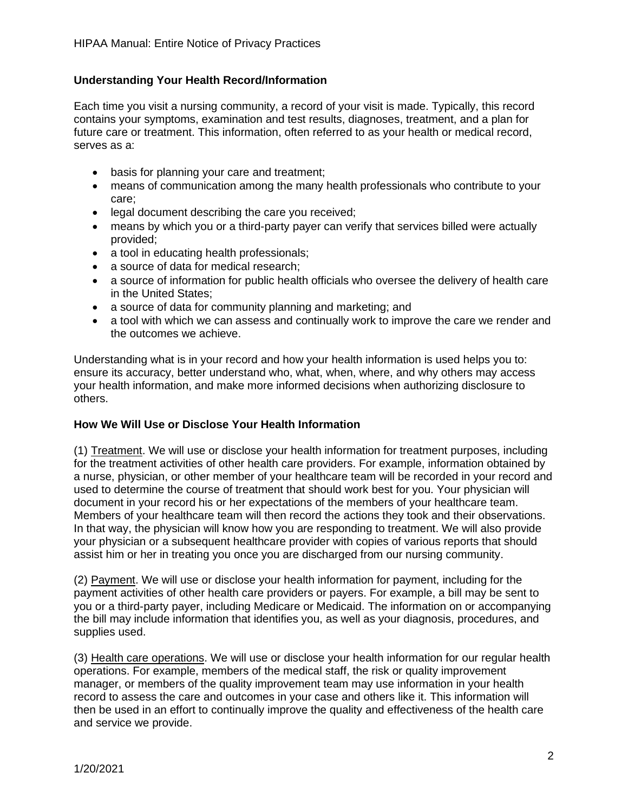## **Understanding Your Health Record/Information**

Each time you visit a nursing community, a record of your visit is made. Typically, this record contains your symptoms, examination and test results, diagnoses, treatment, and a plan for future care or treatment. This information, often referred to as your health or medical record, serves as a:

- basis for planning your care and treatment;
- means of communication among the many health professionals who contribute to your care;
- legal document describing the care you received;
- means by which you or a third-party payer can verify that services billed were actually provided;
- a tool in educating health professionals;
- a source of data for medical research:
- a source of information for public health officials who oversee the delivery of health care in the United States;
- a source of data for community planning and marketing; and
- a tool with which we can assess and continually work to improve the care we render and the outcomes we achieve.

Understanding what is in your record and how your health information is used helps you to: ensure its accuracy, better understand who, what, when, where, and why others may access your health information, and make more informed decisions when authorizing disclosure to others.

#### **How We Will Use or Disclose Your Health Information**

(1) Treatment. We will use or disclose your health information for treatment purposes, including for the treatment activities of other health care providers. For example, information obtained by a nurse, physician, or other member of your healthcare team will be recorded in your record and used to determine the course of treatment that should work best for you. Your physician will document in your record his or her expectations of the members of your healthcare team. Members of your healthcare team will then record the actions they took and their observations. In that way, the physician will know how you are responding to treatment. We will also provide your physician or a subsequent healthcare provider with copies of various reports that should assist him or her in treating you once you are discharged from our nursing community.

(2) Payment. We will use or disclose your health information for payment, including for the payment activities of other health care providers or payers. For example, a bill may be sent to you or a third-party payer, including Medicare or Medicaid. The information on or accompanying the bill may include information that identifies you, as well as your diagnosis, procedures, and supplies used.

(3) Health care operations. We will use or disclose your health information for our regular health operations. For example, members of the medical staff, the risk or quality improvement manager, or members of the quality improvement team may use information in your health record to assess the care and outcomes in your case and others like it. This information will then be used in an effort to continually improve the quality and effectiveness of the health care and service we provide.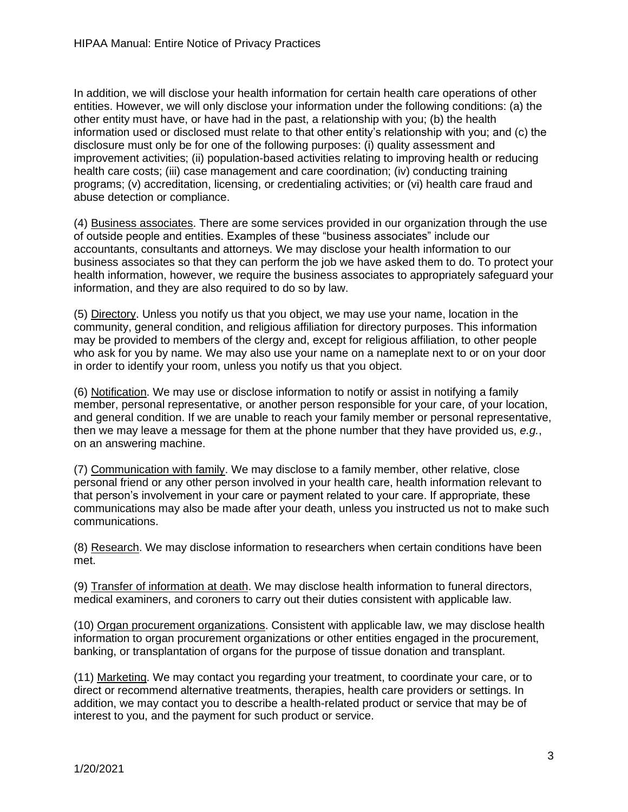In addition, we will disclose your health information for certain health care operations of other entities. However, we will only disclose your information under the following conditions: (a) the other entity must have, or have had in the past, a relationship with you; (b) the health information used or disclosed must relate to that other entity's relationship with you; and (c) the disclosure must only be for one of the following purposes: (i) quality assessment and improvement activities; (ii) population-based activities relating to improving health or reducing health care costs; (iii) case management and care coordination; (iv) conducting training programs; (v) accreditation, licensing, or credentialing activities; or (vi) health care fraud and abuse detection or compliance.

(4) Business associates. There are some services provided in our organization through the use of outside people and entities. Examples of these "business associates" include our accountants, consultants and attorneys. We may disclose your health information to our business associates so that they can perform the job we have asked them to do. To protect your health information, however, we require the business associates to appropriately safeguard your information, and they are also required to do so by law.

(5) Directory. Unless you notify us that you object, we may use your name, location in the community, general condition, and religious affiliation for directory purposes. This information may be provided to members of the clergy and, except for religious affiliation, to other people who ask for you by name. We may also use your name on a nameplate next to or on your door in order to identify your room, unless you notify us that you object.

(6) Notification. We may use or disclose information to notify or assist in notifying a family member, personal representative, or another person responsible for your care, of your location, and general condition. If we are unable to reach your family member or personal representative, then we may leave a message for them at the phone number that they have provided us, *e.g.*, on an answering machine.

(7) Communication with family. We may disclose to a family member, other relative, close personal friend or any other person involved in your health care, health information relevant to that person's involvement in your care or payment related to your care. If appropriate, these communications may also be made after your death, unless you instructed us not to make such communications.

(8) Research. We may disclose information to researchers when certain conditions have been met.

(9) Transfer of information at death. We may disclose health information to funeral directors, medical examiners, and coroners to carry out their duties consistent with applicable law.

(10) Organ procurement organizations. Consistent with applicable law, we may disclose health information to organ procurement organizations or other entities engaged in the procurement, banking, or transplantation of organs for the purpose of tissue donation and transplant.

(11) Marketing. We may contact you regarding your treatment, to coordinate your care, or to direct or recommend alternative treatments, therapies, health care providers or settings. In addition, we may contact you to describe a health-related product or service that may be of interest to you, and the payment for such product or service.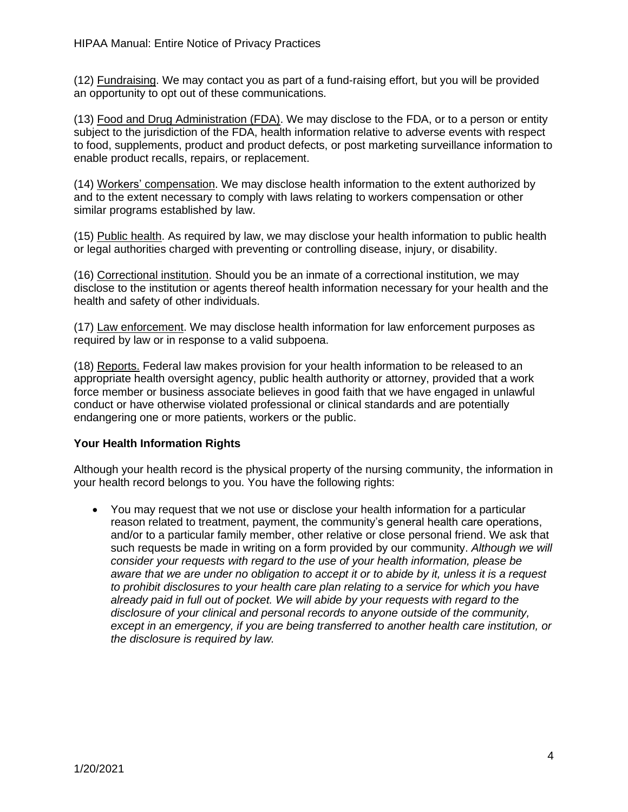(12) Fundraising. We may contact you as part of a fund-raising effort, but you will be provided an opportunity to opt out of these communications.

(13) Food and Drug Administration (FDA). We may disclose to the FDA, or to a person or entity subject to the jurisdiction of the FDA, health information relative to adverse events with respect to food, supplements, product and product defects, or post marketing surveillance information to enable product recalls, repairs, or replacement.

(14) Workers' compensation. We may disclose health information to the extent authorized by and to the extent necessary to comply with laws relating to workers compensation or other similar programs established by law.

(15) Public health. As required by law, we may disclose your health information to public health or legal authorities charged with preventing or controlling disease, injury, or disability.

(16) Correctional institution. Should you be an inmate of a correctional institution, we may disclose to the institution or agents thereof health information necessary for your health and the health and safety of other individuals.

(17) Law enforcement. We may disclose health information for law enforcement purposes as required by law or in response to a valid subpoena.

(18) Reports. Federal law makes provision for your health information to be released to an appropriate health oversight agency, public health authority or attorney, provided that a work force member or business associate believes in good faith that we have engaged in unlawful conduct or have otherwise violated professional or clinical standards and are potentially endangering one or more patients, workers or the public.

## **Your Health Information Rights**

Although your health record is the physical property of the nursing community, the information in your health record belongs to you. You have the following rights:

• You may request that we not use or disclose your health information for a particular reason related to treatment, payment, the community's general health care operations, and/or to a particular family member, other relative or close personal friend. We ask that such requests be made in writing on a form provided by our community. *Although we will consider your requests with regard to the use of your health information, please be aware that we are under no obligation to accept it or to abide by it, unless it is a request to prohibit disclosures to your health care plan relating to a service for which you have already paid in full out of pocket. We will abide by your requests with regard to the disclosure of your clinical and personal records to anyone outside of the community, except in an emergency, if you are being transferred to another health care institution, or the disclosure is required by law.*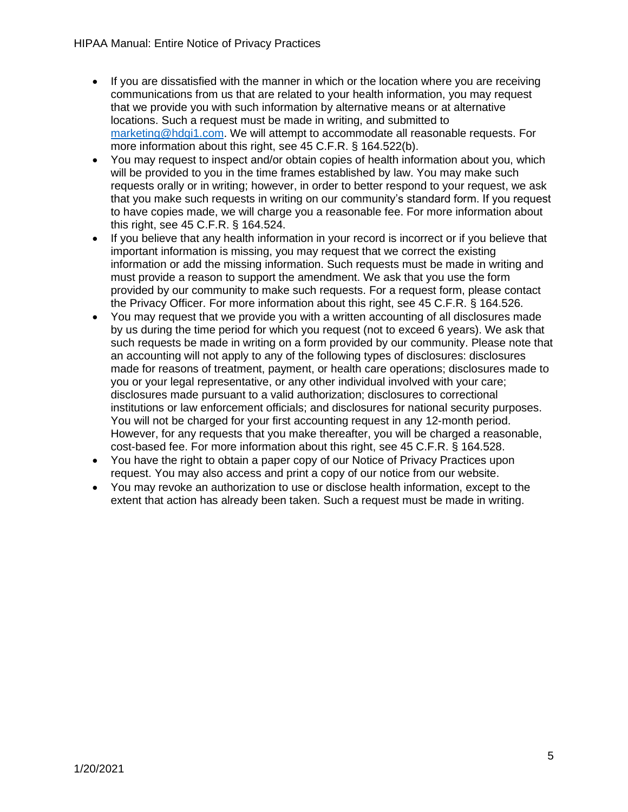- If you are dissatisfied with the manner in which or the location where you are receiving communications from us that are related to your health information, you may request that we provide you with such information by alternative means or at alternative locations. Such a request must be made in writing, and submitted to [marketing@hdgi1.com.](mailto:marketing@hdgi1.com) We will attempt to accommodate all reasonable requests. For more information about this right, see 45 C.F.R. § 164.522(b).
- You may request to inspect and/or obtain copies of health information about you, which will be provided to you in the time frames established by law. You may make such requests orally or in writing; however, in order to better respond to your request, we ask that you make such requests in writing on our community's standard form. If you request to have copies made, we will charge you a reasonable fee. For more information about this right, see 45 C.F.R. § 164.524.
- If you believe that any health information in your record is incorrect or if you believe that important information is missing, you may request that we correct the existing information or add the missing information. Such requests must be made in writing and must provide a reason to support the amendment. We ask that you use the form provided by our community to make such requests. For a request form, please contact the Privacy Officer. For more information about this right, see 45 C.F.R. § 164.526.
- You may request that we provide you with a written accounting of all disclosures made by us during the time period for which you request (not to exceed 6 years). We ask that such requests be made in writing on a form provided by our community. Please note that an accounting will not apply to any of the following types of disclosures: disclosures made for reasons of treatment, payment, or health care operations; disclosures made to you or your legal representative, or any other individual involved with your care; disclosures made pursuant to a valid authorization; disclosures to correctional institutions or law enforcement officials; and disclosures for national security purposes. You will not be charged for your first accounting request in any 12-month period. However, for any requests that you make thereafter, you will be charged a reasonable, cost-based fee. For more information about this right, see 45 C.F.R. § 164.528.
- You have the right to obtain a paper copy of our Notice of Privacy Practices upon request. You may also access and print a copy of our notice from our website.
- You may revoke an authorization to use or disclose health information, except to the extent that action has already been taken. Such a request must be made in writing.